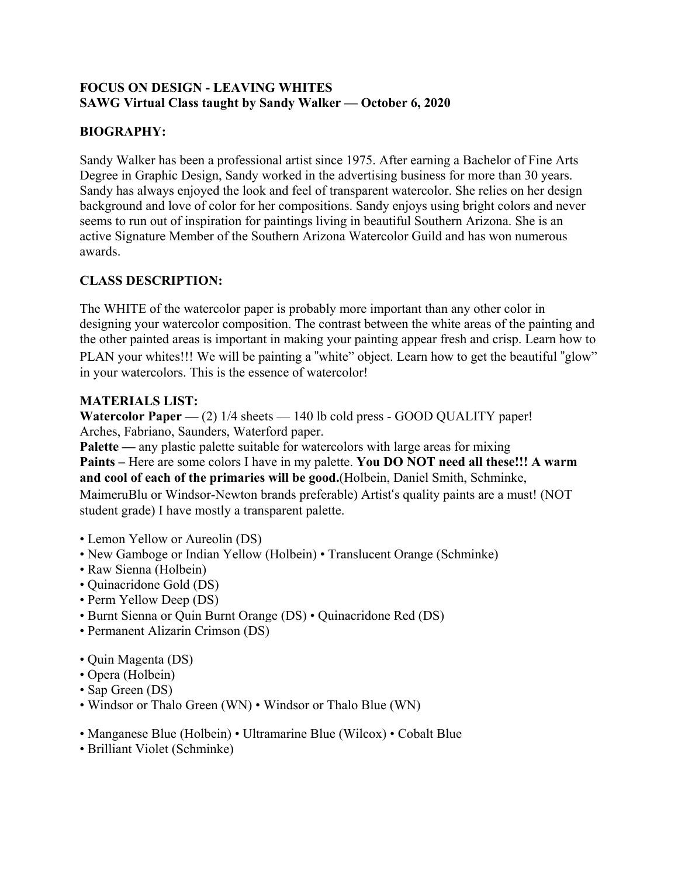### **FOCUS ON DESIGN - LEAVING WHITES SAWG Virtual Class taught by Sandy Walker — October 6, 2020**

# **BIOGRAPHY:**

Sandy Walker has been a professional artist since 1975. After earning a Bachelor of Fine Arts Degree in Graphic Design, Sandy worked in the advertising business for more than 30 years. Sandy has always enjoyed the look and feel of transparent watercolor. She relies on her design background and love of color for her compositions. Sandy enjoys using bright colors and never seems to run out of inspiration for paintings living in beautiful Southern Arizona. She is an active Signature Member of the Southern Arizona Watercolor Guild and has won numerous awards.

## **CLASS DESCRIPTION:**

The WHITE of the watercolor paper is probably more important than any other color in designing your watercolor composition. The contrast between the white areas of the painting and the other painted areas is important in making your painting appear fresh and crisp. Learn how to PLAN your whites!!! We will be painting a "white" object. Learn how to get the beautiful "glow" in your watercolors. This is the essence of watercolor!

### **MATERIALS LIST:**

**Watercolor Paper — (2)** 1/4 sheets — 140 lb cold press - GOOD QUALITY paper! Arches, Fabriano, Saunders, Waterford paper.

**Palette** — any plastic palette suitable for watercolors with large areas for mixing **Paints –** Here are some colors I have in my palette. **You DO NOT need all these!!! A warm and cool of each of the primaries will be good.**(Holbein, Daniel Smith, Schminke, MaimeruBlu or Windsor-Newton brands preferable) Artist's quality paints are a must! (NOT student grade) I have mostly a transparent palette.

- Lemon Yellow or Aureolin (DS)
- New Gamboge or Indian Yellow (Holbein) Translucent Orange (Schminke)
- Raw Sienna (Holbein)
- Quinacridone Gold (DS)
- Perm Yellow Deep (DS)
- Burnt Sienna or Quin Burnt Orange (DS) Quinacridone Red (DS)
- Permanent Alizarin Crimson (DS)
- Quin Magenta (DS)
- Opera (Holbein)
- Sap Green (DS)
- Windsor or Thalo Green (WN) Windsor or Thalo Blue (WN)
- Manganese Blue (Holbein) Ultramarine Blue (Wilcox) Cobalt Blue
- Brilliant Violet (Schminke)